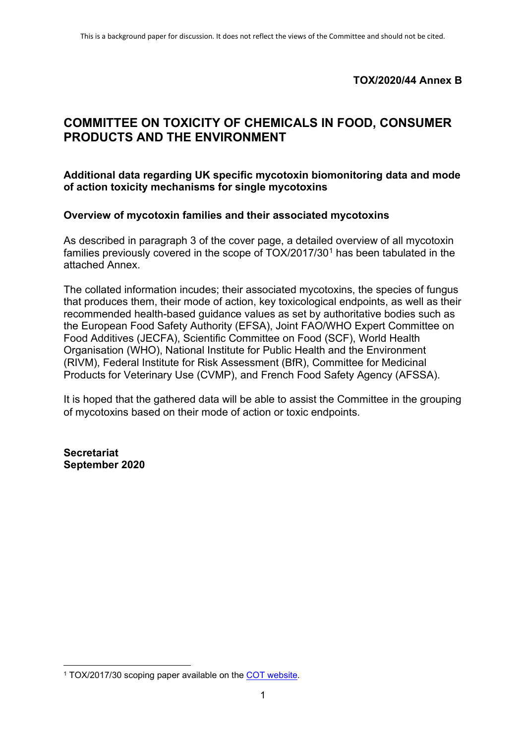## **TOX/2020/44 Annex B**

# **COMMITTEE ON TOXICITY OF CHEMICALS IN FOOD, CONSUMER PRODUCTS AND THE ENVIRONMENT**

#### **Additional data regarding UK specific mycotoxin biomonitoring data and mode of action toxicity mechanisms for single mycotoxins**

#### **Overview of mycotoxin families and their associated mycotoxins**

As described in paragraph 3 of the cover page, a detailed overview of all mycotoxin families previously covered in the scope of TOX/20[1](#page-0-0)7/30<sup>1</sup> has been tabulated in the attached Annex.

The collated information incudes; their associated mycotoxins, the species of fungus that produces them, their mode of action, key toxicological endpoints, as well as their recommended health-based guidance values as set by authoritative bodies such as the European Food Safety Authority (EFSA), Joint FAO/WHO Expert Committee on Food Additives (JECFA), Scientific Committee on Food (SCF), World Health Organisation (WHO), National Institute for Public Health and the Environment (RIVM), Federal Institute for Risk Assessment (BfR), Committee for Medicinal Products for Veterinary Use (CVMP), and French Food Safety Agency (AFSSA).

It is hoped that the gathered data will be able to assist the Committee in the grouping of mycotoxins based on their mode of action or toxic endpoints.

**Secretariat September 2020**

<span id="page-0-0"></span><sup>1</sup> TOX/2017/30 scoping paper available on the [COT website.](https://cot.food.gov.uk/sites/default/files/tox2017-30_0.pdf)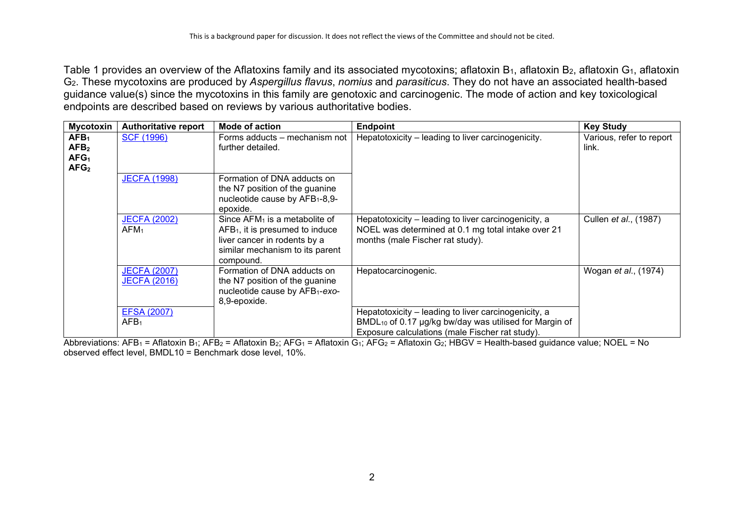Table 1 provides an overview of the Aflatoxins family and its associated mycotoxins; aflatoxin B<sub>1</sub>, aflatoxin B<sub>2</sub>, aflatoxin G<sub>1</sub>, aflatoxin G2. These mycotoxins are produced by *Aspergillus flavus*, *nomius* and *parasiticus*. They do not have an associated health-based guidance value(s) since the mycotoxins in this family are genotoxic and carcinogenic. The mode of action and key toxicological endpoints are described based on reviews by various authoritative bodies.

| <b>Mycotoxin</b>                                                             | <b>Authoritative report</b>                | Mode of action                                                                                                                                                  | <b>Endpoint</b>                                                                                                                                                               | <b>Key Study</b>                  |
|------------------------------------------------------------------------------|--------------------------------------------|-----------------------------------------------------------------------------------------------------------------------------------------------------------------|-------------------------------------------------------------------------------------------------------------------------------------------------------------------------------|-----------------------------------|
| AFB <sub>1</sub><br>AFB <sub>2</sub><br>AFG <sub>1</sub><br>AFG <sub>2</sub> | <b>SCF (1996)</b>                          | Forms adducts – mechanism not<br>further detailed.                                                                                                              | Hepatotoxicity - leading to liver carcinogenicity.                                                                                                                            | Various, refer to report<br>link. |
|                                                                              | <b>JECFA (1998)</b>                        | Formation of DNA adducts on<br>the N7 position of the guanine<br>nucleotide cause by AFB <sub>1</sub> -8,9-<br>epoxide.                                         |                                                                                                                                                                               |                                   |
|                                                                              | <b>JECFA (2002)</b><br>AFM <sub>1</sub>    | Since $AFM_1$ is a metabolite of<br>AFB <sub>1</sub> , it is presumed to induce<br>liver cancer in rodents by a<br>similar mechanism to its parent<br>compound. | Hepatotoxicity - leading to liver carcinogenicity, a<br>NOEL was determined at 0.1 mg total intake over 21<br>months (male Fischer rat study).                                | Cullen <i>et al.</i> , (1987)     |
|                                                                              | <b>JECFA (2007)</b><br><b>JECFA (2016)</b> | Formation of DNA adducts on<br>the N7 position of the guanine<br>nucleotide cause by AFB1-exo-<br>8,9-epoxide.                                                  | Hepatocarcinogenic.                                                                                                                                                           | Wogan et al., (1974)              |
|                                                                              | <b>EFSA (2007)</b><br>AFB <sub>1</sub>     |                                                                                                                                                                 | Hepatotoxicity - leading to liver carcinogenicity, a<br>BMDL <sub>10</sub> of 0.17 µg/kg bw/day was utilised for Margin of<br>Exposure calculations (male Fischer rat study). |                                   |

Abbreviations: AFB<sub>1</sub> = Aflatoxin B<sub>1</sub>; AFB<sub>2</sub> = Aflatoxin B<sub>2</sub>; AFG<sub>1</sub> = Aflatoxin G<sub>1</sub>; AFG<sub>2</sub> = Aflatoxin G<sub>2</sub>; HBGV = Health-based guidance value; NOEL = No observed effect level, BMDL10 = Benchmark dose level, 10%.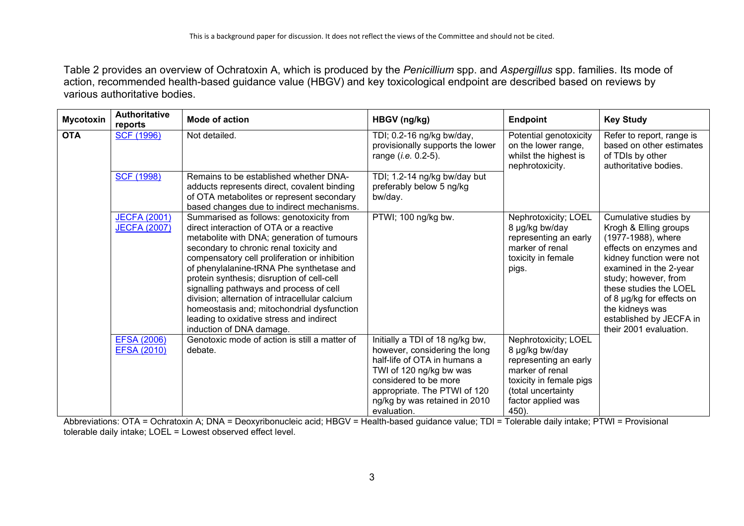Table 2 provides an overview of Ochratoxin A, which is produced by the *Penicillium* spp. and *Aspergillus* spp. families. Its mode of action, recommended health-based guidance value (HBGV) and key toxicological endpoint are described based on reviews by various authoritative bodies.

| <b>Mycotoxin</b> | <b>Authoritative</b><br>reports            | Mode of action                                                                                                                                                                                                                                                                                                                                                                                                                                                                                                                             | HBGV (ng/kg)                                                                                                                                                                                                                         | <b>Endpoint</b>                                                                                                                                                    | <b>Key Study</b>                                                                                                                                                                                                                                                                                            |
|------------------|--------------------------------------------|--------------------------------------------------------------------------------------------------------------------------------------------------------------------------------------------------------------------------------------------------------------------------------------------------------------------------------------------------------------------------------------------------------------------------------------------------------------------------------------------------------------------------------------------|--------------------------------------------------------------------------------------------------------------------------------------------------------------------------------------------------------------------------------------|--------------------------------------------------------------------------------------------------------------------------------------------------------------------|-------------------------------------------------------------------------------------------------------------------------------------------------------------------------------------------------------------------------------------------------------------------------------------------------------------|
| <b>OTA</b>       | <b>SCF (1996)</b>                          | Not detailed.                                                                                                                                                                                                                                                                                                                                                                                                                                                                                                                              | TDI; 0.2-16 ng/kg bw/day,<br>provisionally supports the lower<br>range ( <i>i.e.</i> 0.2-5).                                                                                                                                         | Potential genotoxicity<br>on the lower range,<br>whilst the highest is<br>nephrotoxicity.                                                                          | Refer to report, range is<br>based on other estimates<br>of TDIs by other<br>authoritative bodies.                                                                                                                                                                                                          |
|                  | <b>SCF (1998)</b>                          | Remains to be established whether DNA-<br>adducts represents direct, covalent binding<br>of OTA metabolites or represent secondary<br>based changes due to indirect mechanisms.                                                                                                                                                                                                                                                                                                                                                            | TDI; 1.2-14 ng/kg bw/day but<br>preferably below 5 ng/kg<br>bw/day.                                                                                                                                                                  |                                                                                                                                                                    |                                                                                                                                                                                                                                                                                                             |
|                  | <b>JECFA (2001)</b><br><b>JECFA (2007)</b> | Summarised as follows: genotoxicity from<br>direct interaction of OTA or a reactive<br>metabolite with DNA; generation of tumours<br>secondary to chronic renal toxicity and<br>compensatory cell proliferation or inhibition<br>of phenylalanine-tRNA Phe synthetase and<br>protein synthesis; disruption of cell-cell<br>signalling pathways and process of cell<br>division; alternation of intracellular calcium<br>homeostasis and; mitochondrial dysfunction<br>leading to oxidative stress and indirect<br>induction of DNA damage. | PTWI; 100 ng/kg bw.                                                                                                                                                                                                                  | Nephrotoxicity; LOEL<br>8 µg/kg bw/day<br>representing an early<br>marker of renal<br>toxicity in female<br>pigs.                                                  | Cumulative studies by<br>Krogh & Elling groups<br>(1977-1988), where<br>effects on enzymes and<br>kidney function were not<br>examined in the 2-year<br>study; however, from<br>these studies the LOEL<br>of 8 µg/kg for effects on<br>the kidneys was<br>established by JECFA in<br>their 2001 evaluation. |
|                  | <b>EFSA (2006)</b><br><b>EFSA (2010)</b>   | Genotoxic mode of action is still a matter of<br>debate.                                                                                                                                                                                                                                                                                                                                                                                                                                                                                   | Initially a TDI of 18 ng/kg bw,<br>however, considering the long<br>half-life of OTA in humans a<br>TWI of 120 ng/kg bw was<br>considered to be more<br>appropriate. The PTWI of 120<br>ng/kg by was retained in 2010<br>evaluation. | Nephrotoxicity; LOEL<br>8 µg/kg bw/day<br>representing an early<br>marker of renal<br>toxicity in female pigs<br>(total uncertainty<br>factor applied was<br>450). |                                                                                                                                                                                                                                                                                                             |

Abbreviations: OTA = Ochratoxin A; DNA = Deoxyribonucleic acid; HBGV = Health-based guidance value; TDI = Tolerable daily intake; PTWI = Provisional tolerable daily intake; LOEL = Lowest observed effect level.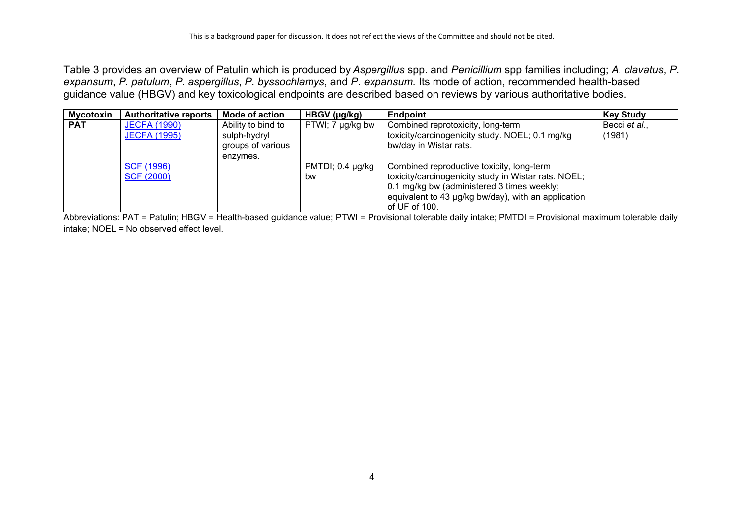Table 3 provides an overview of Patulin which is produced by *Aspergillus* spp. and *Penicillium* spp families including; *A. clavatus*, *P. expansum*, *P. patulum*, *P. aspergillus*, *P. byssochlamys*, and *P. expansum.* Its mode of action, recommended health-based guidance value (HBGV) and key toxicological endpoints are described based on reviews by various authoritative bodies.

| <b>Mycotoxin</b> | <b>Authoritative reports</b>               | <b>Mode of action</b>                                               | HBGV (µg/kg)                | <b>Endpoint</b>                                                                                                                                                                                                         | <b>Key Study</b>        |
|------------------|--------------------------------------------|---------------------------------------------------------------------|-----------------------------|-------------------------------------------------------------------------------------------------------------------------------------------------------------------------------------------------------------------------|-------------------------|
| <b>PAT</b>       | <b>JECFA (1990)</b><br><b>JECFA (1995)</b> | Ability to bind to<br>sulph-hydryl<br>groups of various<br>enzymes. | PTWI; 7 µg/kg bw            | Combined reprotoxicity, long-term<br>toxicity/carcinogenicity study. NOEL; 0.1 mg/kg<br>bw/day in Wistar rats.                                                                                                          | Becci et al.,<br>(1981) |
|                  | <b>SCF (1996)</b><br><b>SCF (2000)</b>     |                                                                     | PMTDI; $0.4 \mu g/kg$<br>bw | Combined reproductive toxicity, long-term<br>toxicity/carcinogenicity study in Wistar rats. NOEL;<br>0.1 mg/kg bw (administered 3 times weekly;<br>equivalent to 43 µg/kg bw/day), with an application<br>of UF of 100. |                         |

Abbreviations: PAT = Patulin; HBGV = Health-based guidance value; PTWI = Provisional tolerable daily intake; PMTDI = Provisional maximum tolerable daily intake; NOEL = No observed effect level.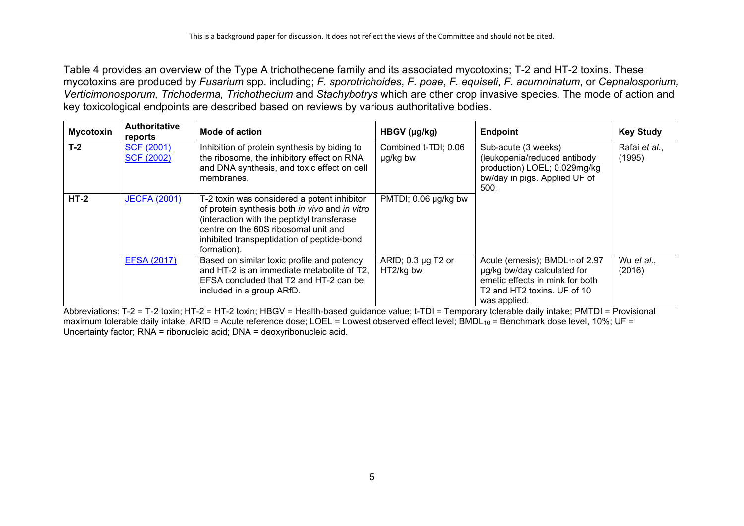<span id="page-4-0"></span>Table 4 provides an overview of the Type A trichothecene family and its associated mycotoxins; T-2 and HT-2 toxins. These mycotoxins are produced by *Fusarium* spp. including; *F. sporotrichoides*, *F. poae*, *F. equiseti*, *F. acumninatum*, or *Cephalosporium, Verticimonosporum, Trichoderma, Trichothecium* and *Stachybotrys* which are other crop invasive species*.* The mode of action and key toxicological endpoints are described based on reviews by various authoritative bodies.

| <b>Mycotoxin</b> | <b>Authoritative</b><br>reports        | Mode of action                                                                                                                                                                                                                                   | HBGV (µg/kg)                     | <b>Endpoint</b>                                                                                                                                 | <b>Key Study</b>        |
|------------------|----------------------------------------|--------------------------------------------------------------------------------------------------------------------------------------------------------------------------------------------------------------------------------------------------|----------------------------------|-------------------------------------------------------------------------------------------------------------------------------------------------|-------------------------|
| $T-2$            | <b>SCF (2001)</b><br><b>SCF (2002)</b> | Inhibition of protein synthesis by biding to<br>the ribosome, the inhibitory effect on RNA<br>and DNA synthesis, and toxic effect on cell<br>membranes.                                                                                          | Combined t-TDI; 0.06<br>µg/kg bw | Sub-acute (3 weeks)<br>(leukopenia/reduced antibody<br>production) LOEL; 0.029mg/kg<br>bw/day in pigs. Applied UF of<br>500.                    | Rafai et al.,<br>(1995) |
| $HT-2$           | <b>JECFA (2001)</b>                    | T-2 toxin was considered a potent inhibitor<br>of protein synthesis both in vivo and in vitro<br>(interaction with the peptidyl transferase<br>centre on the 60S ribosomal unit and<br>inhibited transpeptidation of peptide-bond<br>formation). | PMTDI; 0.06 µg/kg bw             |                                                                                                                                                 |                         |
|                  | <b>EFSA (2017)</b>                     | Based on similar toxic profile and potency<br>and HT-2 is an immediate metabolite of T2,<br>EFSA concluded that T2 and HT-2 can be<br>included in a group ARfD.                                                                                  | ARfD; 0.3 µg T2 or<br>HT2/kg bw  | Acute (emesis); BMDL10 of 2.97<br>µg/kg bw/day calculated for<br>emetic effects in mink for both<br>T2 and HT2 toxins. UF of 10<br>was applied. | Wu et al.,<br>(2016)    |

Abbreviations: T-2 = T-2 toxin; HT-2 = HT-2 toxin; HBGV = Health-based guidance value; t-TDI = Temporary tolerable daily intake; PMTDI = Provisional maximum tolerable daily intake; ARfD = Acute reference dose; LOEL = Lowest observed effect level; BMDL $_{10}$  = Benchmark dose level, 10%; UF = Uncertainty factor; RNA = ribonucleic acid; DNA = deoxyribonucleic acid.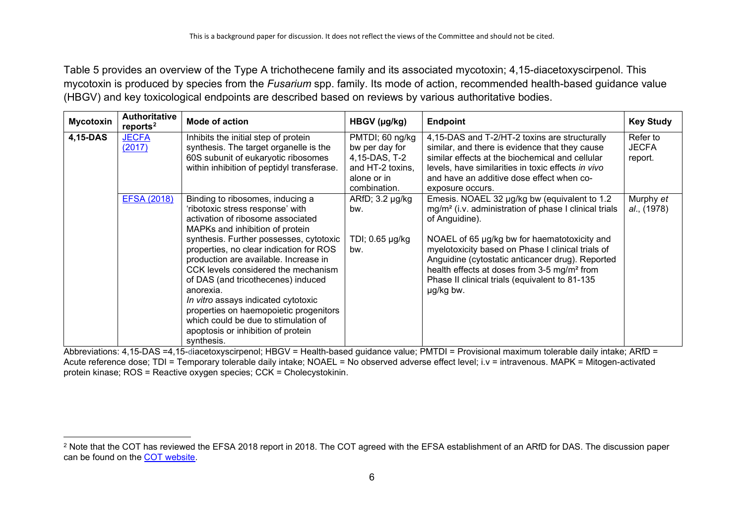<span id="page-5-0"></span>Table 5 provides an overview of the Type A trichothecene family and its associated mycotoxin; 4,15-diacetoxyscirpenol. This mycotoxin is produced by species from the *Fusarium* spp. family. Its mode of action, recommended health-based guidance value (HBGV) and key toxicological endpoints are described based on reviews by various authoritative bodies.

| <b>Mycotoxin</b> | <b>Authoritative</b><br>reports <sup>2</sup> | Mode of action                                                                                                                                                                                                                                                                                                                                                                                                                                                                                                                                     | HBGV (µg/kg)                                                                                          | <b>Endpoint</b>                                                                                                                                                                                                                                                                                                                                                                                                         | <b>Key Study</b>                    |
|------------------|----------------------------------------------|----------------------------------------------------------------------------------------------------------------------------------------------------------------------------------------------------------------------------------------------------------------------------------------------------------------------------------------------------------------------------------------------------------------------------------------------------------------------------------------------------------------------------------------------------|-------------------------------------------------------------------------------------------------------|-------------------------------------------------------------------------------------------------------------------------------------------------------------------------------------------------------------------------------------------------------------------------------------------------------------------------------------------------------------------------------------------------------------------------|-------------------------------------|
| 4,15-DAS         | <b>JECFA</b><br>(2017)                       | Inhibits the initial step of protein<br>synthesis. The target organelle is the<br>60S subunit of eukaryotic ribosomes<br>within inhibition of peptidyl transferase.                                                                                                                                                                                                                                                                                                                                                                                | PMTDI; 60 ng/kg<br>bw per day for<br>4,15-DAS, T-2<br>and HT-2 toxins,<br>alone or in<br>combination. | 4,15-DAS and T-2/HT-2 toxins are structurally<br>similar, and there is evidence that they cause<br>similar effects at the biochemical and cellular<br>levels, have similarities in toxic effects in vivo<br>and have an additive dose effect when co-<br>exposure occurs.                                                                                                                                               | Refer to<br><b>JECFA</b><br>report. |
|                  | <b>EFSA (2018)</b>                           | Binding to ribosomes, inducing a<br>'ribotoxic stress response' with<br>activation of ribosome associated<br>MAPKs and inhibition of protein<br>synthesis. Further possesses, cytotoxic<br>properties, no clear indication for ROS<br>production are available. Increase in<br>CCK levels considered the mechanism<br>of DAS (and tricothecenes) induced<br>anorexia.<br>In vitro assays indicated cytotoxic<br>properties on haemopoietic progenitors<br>which could be due to stimulation of<br>apoptosis or inhibition of protein<br>synthesis. | ARfD; 3.2 µg/kg<br>bw.<br>TDI; 0.65 µg/kg<br>bw.                                                      | Emesis. NOAEL 32 µg/kg bw (equivalent to 1.2)<br>mg/m <sup>2</sup> (i.v. administration of phase I clinical trials<br>of Anguidine).<br>NOAEL of 65 µg/kg bw for haematotoxicity and<br>myelotoxicity based on Phase I clinical trials of<br>Anguidine (cytostatic anticancer drug). Reported<br>health effects at doses from 3-5 mg/m <sup>2</sup> from<br>Phase II clinical trials (equivalent to 81-135<br>µg/kg bw. | Murphy et<br>al., (1978)            |

Abbreviations: 4,15-DAS =4,15-diacetoxyscirpenol; HBGV = Health-based guidance value; PMTDI = Provisional maximum tolerable daily intake; ARfD = Acute reference dose; TDI = Temporary tolerable daily intake; NOAEL = No observed adverse effect level; i.v = intravenous. MAPK = Mitogen-activated protein kinase; ROS = Reactive oxygen species; CCK = Cholecystokinin.

<sup>&</sup>lt;sup>2</sup> Note that the COT has reviewed the EFSA 2018 report in 2018. The COT agreed with the EFSA establishment of an ARfD for DAS. The discussion paper can be found on the [COT website.](https://cot.food.gov.uk/sites/default/files/tox2018-51.pdf)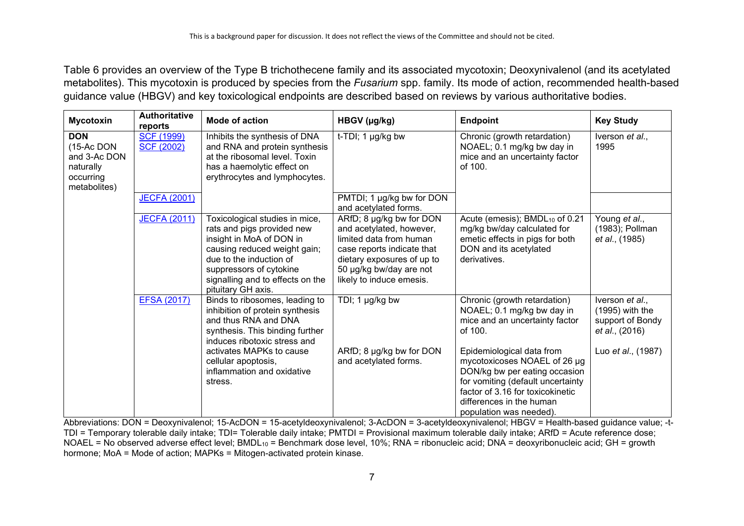Table 6 provides an overview of the Type B trichothecene family and its associated mycotoxin; Deoxynivalenol (and its acetylated metabolites). This mycotoxin is produced by species from the *Fusarium* spp. family. Its mode of action, recommended health-based guidance value (HBGV) and key toxicological endpoints are described based on reviews by various authoritative bodies.

| <b>Mycotoxin</b>                                                                   | <b>Authoritative</b><br>reports        | <b>Mode of action</b>                                                                                                                                                                                                                    | HBGV (µg/kg)                                                                                                                                                                                       | <b>Endpoint</b>                                                                                                                                                                                                            | <b>Key Study</b>                                                           |
|------------------------------------------------------------------------------------|----------------------------------------|------------------------------------------------------------------------------------------------------------------------------------------------------------------------------------------------------------------------------------------|----------------------------------------------------------------------------------------------------------------------------------------------------------------------------------------------------|----------------------------------------------------------------------------------------------------------------------------------------------------------------------------------------------------------------------------|----------------------------------------------------------------------------|
| <b>DON</b><br>(15-Ac DON<br>and 3-Ac DON<br>naturally<br>occurring<br>metabolites) | <b>SCF (1999)</b><br><b>SCF (2002)</b> | Inhibits the synthesis of DNA<br>and RNA and protein synthesis<br>at the ribosomal level. Toxin<br>has a haemolytic effect on<br>erythrocytes and lymphocytes.                                                                           | t-TDI; 1 µg/kg bw                                                                                                                                                                                  | Chronic (growth retardation)<br>NOAEL; 0.1 mg/kg bw day in<br>mice and an uncertainty factor<br>of 100.                                                                                                                    | Iverson et al.,<br>1995                                                    |
|                                                                                    | <b>JECFA (2001)</b>                    |                                                                                                                                                                                                                                          | PMTDI; 1 µg/kg bw for DON<br>and acetylated forms.                                                                                                                                                 |                                                                                                                                                                                                                            |                                                                            |
|                                                                                    | <b>JECFA (2011)</b>                    | Toxicological studies in mice,<br>rats and pigs provided new<br>insight in MoA of DON in<br>causing reduced weight gain;<br>due to the induction of<br>suppressors of cytokine<br>signalling and to effects on the<br>pituitary GH axis. | ARfD; 8 µg/kg bw for DON<br>and acetylated, however,<br>limited data from human<br>case reports indicate that<br>dietary exposures of up to<br>50 µg/kg bw/day are not<br>likely to induce emesis. | Acute (emesis); BMDL <sub>10</sub> of 0.21<br>mg/kg bw/day calculated for<br>emetic effects in pigs for both<br>DON and its acetylated<br>derivatives.                                                                     | Young et al.,<br>(1983); Pollman<br>et al., (1985)                         |
|                                                                                    | <b>EFSA (2017)</b>                     | Binds to ribosomes, leading to<br>inhibition of protein synthesis<br>and thus RNA and DNA<br>synthesis. This binding further<br>induces ribotoxic stress and                                                                             | TDI; 1 µg/kg bw                                                                                                                                                                                    | Chronic (growth retardation)<br>NOAEL; 0.1 mg/kg bw day in<br>mice and an uncertainty factor<br>of 100.                                                                                                                    | Iverson et al.,<br>$(1995)$ with the<br>support of Bondy<br>et al., (2016) |
|                                                                                    |                                        | activates MAPKs to cause<br>cellular apoptosis,<br>inflammation and oxidative<br>stress.                                                                                                                                                 | ARfD; 8 µg/kg bw for DON<br>and acetylated forms.                                                                                                                                                  | Epidemiological data from<br>mycotoxicoses NOAEL of 26 µg<br>DON/kg bw per eating occasion<br>for vomiting (default uncertainty<br>factor of 3.16 for toxicokinetic<br>differences in the human<br>population was needed). | Luo et al., (1987)                                                         |

Abbreviations: DON = Deoxynivalenol; 15-AcDON = 15-acetyldeoxynivalenol; 3-AcDON = 3-acetyldeoxynivalenol; HBGV = Health-based guidance value; -t-TDI = Temporary tolerable daily intake; TDI= Tolerable daily intake; PMTDI = Provisional maximum tolerable daily intake; ARfD = Acute reference dose; NOAEL = No observed adverse effect level; BMDL10 = Benchmark dose level, 10%; RNA = ribonucleic acid; DNA = deoxyribonucleic acid; GH = growth hormone; MoA = Mode of action; MAPKs = Mitogen-activated protein kinase.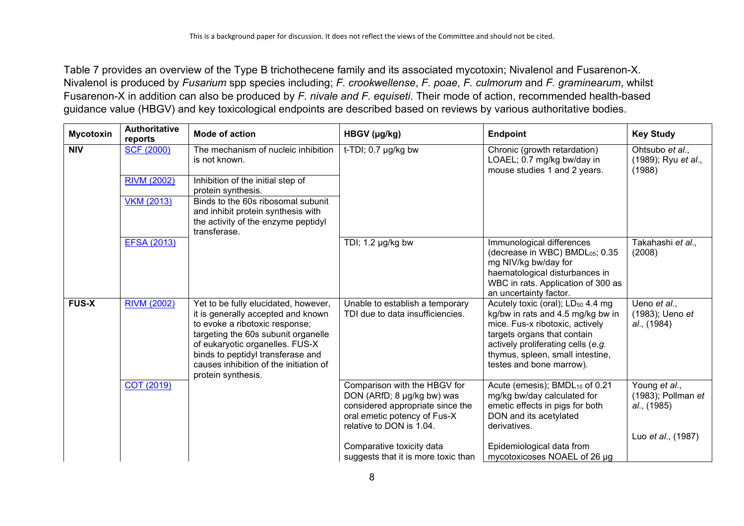Table 7 provides an overview of the Type B trichothecene family and its associated mycotoxin; Nivalenol and Fusarenon-X. Nivalenol is produced by *Fusarium* spp species including; *F. crookwellense*, *F. poae*, *F. culmorum* and *F. graminearum*, whilst Fusarenon-X in addition can also be produced by *F. nivale and F. equiseti*. Their mode of action, recommended health-based guidance value (HBGV) and key toxicological endpoints are described based on reviews by various authoritative bodies.

| <b>Mycotoxin</b> | <b>Authoritative</b><br>reports | <b>Mode of action</b>                                                                                                                                                                                                                                                                       | HBGV (µg/kg)                                                                                                                                               | <b>Endpoint</b>                                                                                                                                                                                                                                            | <b>Key Study</b>                                      |
|------------------|---------------------------------|---------------------------------------------------------------------------------------------------------------------------------------------------------------------------------------------------------------------------------------------------------------------------------------------|------------------------------------------------------------------------------------------------------------------------------------------------------------|------------------------------------------------------------------------------------------------------------------------------------------------------------------------------------------------------------------------------------------------------------|-------------------------------------------------------|
| <b>NIV</b>       | <b>SCF (2000)</b>               | The mechanism of nucleic inhibition<br>is not known.                                                                                                                                                                                                                                        | $t$ -TDI; 0.7 µg/kg bw                                                                                                                                     | Chronic (growth retardation)<br>LOAEL; 0.7 mg/kg bw/day in<br>mouse studies 1 and 2 years.                                                                                                                                                                 | Ohtsubo et al.,<br>(1989); Ryu et al.,<br>(1988)      |
|                  | <b>RIVM (2002)</b>              | Inhibition of the initial step of<br>protein synthesis.                                                                                                                                                                                                                                     |                                                                                                                                                            |                                                                                                                                                                                                                                                            |                                                       |
|                  | <b>VKM (2013)</b>               | Binds to the 60s ribosomal subunit<br>and inhibit protein synthesis with<br>the activity of the enzyme peptidyl<br>transferase.                                                                                                                                                             |                                                                                                                                                            |                                                                                                                                                                                                                                                            |                                                       |
|                  | <b>EFSA (2013)</b>              |                                                                                                                                                                                                                                                                                             | TDI; 1.2 µg/kg bw                                                                                                                                          | Immunological differences<br>(decrease in WBC) BMDL05; 0.35<br>mg NIV/kg bw/day for<br>haematological disturbances in<br>WBC in rats. Application of 300 as<br>an uncertainty factor.                                                                      | Takahashi et al.,<br>(2008)                           |
| <b>FUS-X</b>     | <b>RIVM (2002)</b>              | Yet to be fully elucidated, however,<br>it is generally accepted and known<br>to evoke a ribotoxic response;<br>targeting the 60s subunit organelle<br>of eukaryotic organelles. FUS-X<br>binds to peptidyl transferase and<br>causes inhibition of the initiation of<br>protein synthesis. | Unable to establish a temporary<br>TDI due to data insufficiencies.                                                                                        | Acutely toxic (oral); LD <sub>50</sub> 4.4 mg<br>kg/bw in rats and 4.5 mg/kg bw in<br>mice. Fus-x ribotoxic, actively<br>targets organs that contain<br>actively proliferating cells (e.g.<br>thymus, spleen, small intestine,<br>testes and bone marrow). | Ueno et al.,<br>(1983); Ueno et<br>al., (1984)        |
|                  | COT (2019)                      |                                                                                                                                                                                                                                                                                             | Comparison with the HBGV for<br>DON (ARfD; 8 µg/kg bw) was<br>considered appropriate since the<br>oral emetic potency of Fus-X<br>relative to DON is 1.04. | Acute (emesis); BMDL <sub>10</sub> of 0.21<br>mg/kg bw/day calculated for<br>emetic effects in pigs for both<br>DON and its acetylated<br>derivatives.                                                                                                     | Young et al.,<br>$(1983)$ ; Pollman et<br>al., (1985) |
|                  |                                 |                                                                                                                                                                                                                                                                                             | Comparative toxicity data<br>suggests that it is more toxic than                                                                                           | Epidemiological data from<br>mycotoxicoses NOAEL of 26 µg                                                                                                                                                                                                  | Luo et al., (1987)                                    |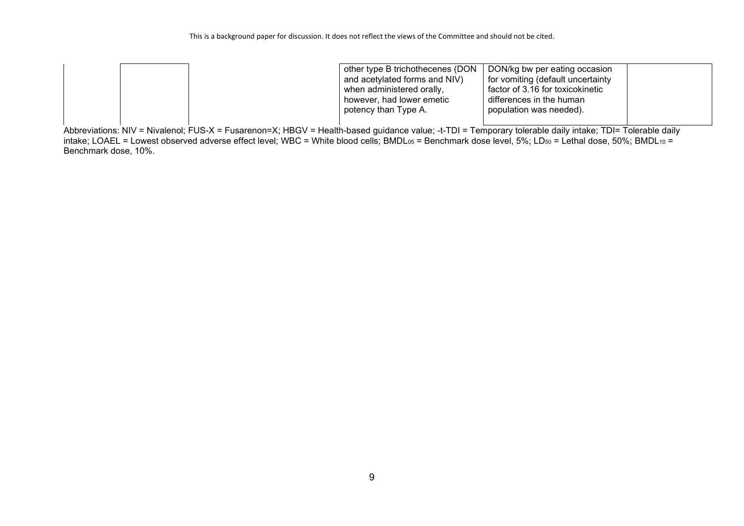|  | other type B trichothecenes (DON<br>and acetylated forms and NIV)<br>when administered orally,<br>however, had lower emetic<br>potency than Type A. | DON/kg bw per eating occasion<br>for vomiting (default uncertainty<br>factor of 3.16 for toxicokinetic<br>differences in the human<br>population was needed). |  |
|--|-----------------------------------------------------------------------------------------------------------------------------------------------------|---------------------------------------------------------------------------------------------------------------------------------------------------------------|--|
|  |                                                                                                                                                     |                                                                                                                                                               |  |

Abbreviations: NIV = Nivalenol; FUS-X = Fusarenon=X; HBGV = Health-based guidance value; -t-TDI = Temporary tolerable daily intake; TDI= Tolerable daily intake; LOAEL = Lowest observed adverse effect level; WBC = White blood cells; BMDL $_{05}$  = Benchmark dose level, 5%; LD $_{50}$  = Lethal dose, 50%; BMDL $_{10}$  = Benchmark dose, 10%.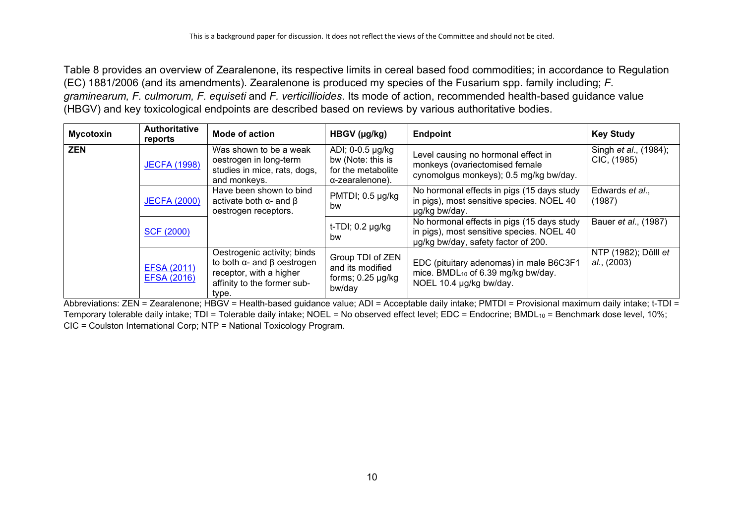Table 8 provides an overview of Zearalenone, its respective limits in cereal based food commodities; in accordance to Regulation (EC) 1881/2006 (and its amendments). Zearalenone is produced my species of the Fusarium spp. family including; *F. graminearum, F. culmorum, F. equiseti* and *F. verticillioides*. Its mode of action, recommended health-based guidance value (HBGV) and key toxicological endpoints are described based on reviews by various authoritative bodies.

| <b>Mycotoxin</b> | <b>Authoritative</b><br>reports          | Mode of action                                                                                                                             | $HBGV$ ( $\mu$ g/kg)                                                           | <b>Endpoint</b>                                                                                                                | <b>Key Study</b>                             |
|------------------|------------------------------------------|--------------------------------------------------------------------------------------------------------------------------------------------|--------------------------------------------------------------------------------|--------------------------------------------------------------------------------------------------------------------------------|----------------------------------------------|
| ZEN              | <b>JECFA (1998)</b>                      | Was shown to be a weak<br>oestrogen in long-term<br>studies in mice, rats, dogs,<br>and monkeys.                                           | ADI; 0-0.5 µg/kg<br>bw (Note: this is<br>for the metabolite<br>α-zearalenone). | Level causing no hormonal effect in<br>monkeys (ovariectomised female<br>cynomolgus monkeys); 0.5 mg/kg bw/day.                | Singh <i>et al.</i> , (1984);<br>CIC, (1985) |
|                  | <b>JECFA (2000)</b>                      | Have been shown to bind<br>activate both $\alpha$ - and $\beta$<br>oestrogen receptors.                                                    | PMTDI; 0.5 µg/kg<br>bw                                                         | No hormonal effects in pigs (15 days study<br>in pigs), most sensitive species. NOEL 40<br>ug/kg bw/day.                       | Edwards et al.,<br>(1987)                    |
|                  | <b>SCF (2000)</b>                        |                                                                                                                                            | $t$ -TDI; 0.2 $\mu$ g/kg<br>bw                                                 | No hormonal effects in pigs (15 days study<br>in pigs), most sensitive species. NOEL 40<br>ug/kg bw/day, safety factor of 200. | Bauer et al., (1987)                         |
|                  | <b>EFSA (2011)</b><br><b>EFSA (2016)</b> | Oestrogenic activity; binds<br>to both $\alpha$ - and $\beta$ oestrogen<br>receptor, with a higher<br>affinity to the former sub-<br>type. | Group TDI of ZEN<br>and its modified<br>forms; $0.25 \mu g/kg$<br>bw/day       | EDC (pituitary adenomas) in male B6C3F1<br>mice. BMDL <sub>10</sub> of 6.39 mg/kg bw/day.<br>NOEL 10.4 µg/kg bw/day.           | NTP (1982); Dölll et<br>al., (2003)          |

Abbreviations: ZEN = Zearalenone; HBGV = Health-based guidance value; ADI = Acceptable daily intake; PMTDI = Provisional maximum daily intake; t-TDI = Temporary tolerable daily intake; TDI = Tolerable daily intake; NOEL = No observed effect level; EDC = Endocrine; BMDL<sub>10</sub> = Benchmark dose level, 10%; CIC = Coulston International Corp; NTP = National Toxicology Program.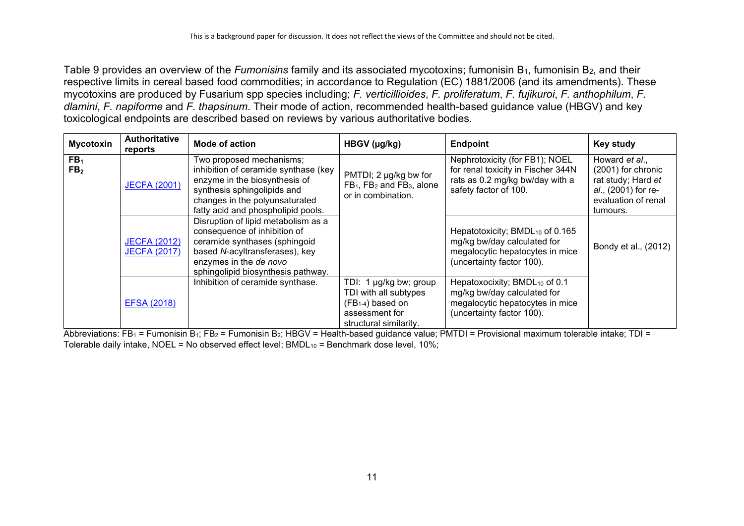Table 9 provides an overview of the *Fumonisins* family and its associated mycotoxins; fumonisin B<sub>1</sub>, fumonisin B<sub>2</sub>, and their respective limits in cereal based food commodities; in accordance to Regulation (EC) 1881/2006 (and its amendments). These mycotoxins are produced by Fusarium spp species including; *F. verticillioides*, *F. proliferatum*, *F. fujikuroi*, *F. anthophilum*, *F. dlamini*, *F. napiforme* and *F. thapsinum*. Their mode of action, recommended health-based guidance value (HBGV) and key toxicological endpoints are described based on reviews by various authoritative bodies.

| <b>Mycotoxin</b>                   | <b>Authoritative</b><br>reports            | Mode of action                                                                                                                                                                                           | HBGV (µg/kg)                                                                                                                 | <b>Endpoint</b>                                                                                                                            | <b>Key study</b>                                                                                                     |
|------------------------------------|--------------------------------------------|----------------------------------------------------------------------------------------------------------------------------------------------------------------------------------------------------------|------------------------------------------------------------------------------------------------------------------------------|--------------------------------------------------------------------------------------------------------------------------------------------|----------------------------------------------------------------------------------------------------------------------|
| FB <sub>1</sub><br>FB <sub>2</sub> | <b>JECFA (2001)</b>                        | Two proposed mechanisms;<br>inhibition of ceramide synthase (key<br>enzyme in the biosynthesis of<br>synthesis sphingolipids and<br>changes in the polyunsaturated<br>fatty acid and phospholipid pools. | PMTDI; 2 µg/kg bw for<br>FB <sub>1</sub> , FB <sub>2</sub> and FB <sub>3</sub> , alone<br>or in combination.                 | Nephrotoxicity (for FB1); NOEL<br>for renal toxicity in Fischer 344N<br>rats as 0.2 mg/kg bw/day with a<br>safety factor of 100.           | Howard et al.,<br>(2001) for chronic<br>rat study; Hard et<br>al., (2001) for re-<br>evaluation of renal<br>tumours. |
|                                    | <b>JECFA (2012)</b><br><b>JECFA (2017)</b> | Disruption of lipid metabolism as a<br>consequence of inhibition of<br>ceramide synthases (sphingoid<br>based N-acyltransferases), key<br>enzymes in the de novo<br>sphingolipid biosynthesis pathway.   |                                                                                                                              | Hepatotoxicity; BMDL <sub>10</sub> of 0.165<br>mg/kg bw/day calculated for<br>megalocytic hepatocytes in mice<br>(uncertainty factor 100). | Bondy et al., (2012)                                                                                                 |
|                                    | <b>EFSA (2018)</b>                         | Inhibition of ceramide synthase.                                                                                                                                                                         | TDI: 1 µg/kg bw; group<br>TDI with all subtypes<br>(FB <sub>1-4</sub> ) based on<br>assessment for<br>structural similarity. | Hepatoxocixity; BMDL <sub>10</sub> of 0.1<br>mg/kg bw/day calculated for<br>megalocytic hepatocytes in mice<br>(uncertainty factor 100).   |                                                                                                                      |

Abbreviations: FB<sub>1</sub> = Fumonisin B<sub>1</sub>; FB<sub>2</sub> = Fumonisin B<sub>2</sub>; HBGV = Health-based guidance value; PMTDI = Provisional maximum tolerable intake; TDI = Tolerable daily intake, NOEL = No observed effect level; BMDL $_{10}$  = Benchmark dose level, 10%;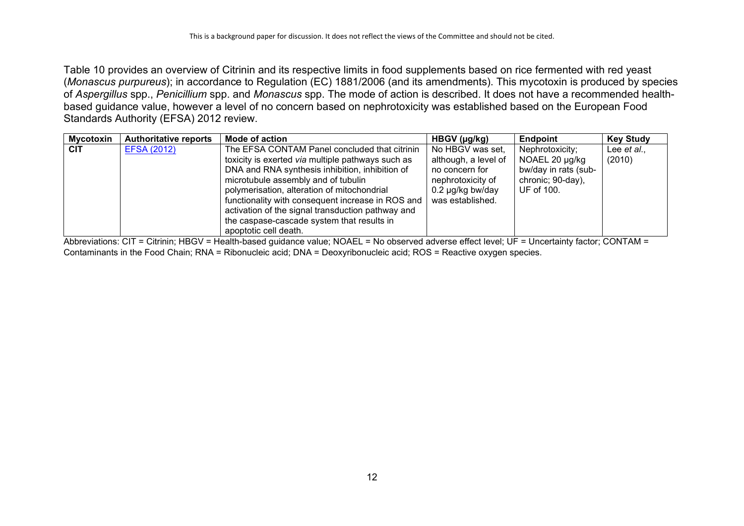Table 10 provides an overview of Citrinin and its respective limits in food supplements based on rice fermented with red yeast (*Monascus purpureus*); in accordance to Regulation (EC) 1881/2006 (and its amendments). This mycotoxin is produced by species of *Aspergillus* spp., *Penicillium* spp. and *Monascus* spp. The mode of action is described. It does not have a recommended healthbased guidance value, however a level of no concern based on nephrotoxicity was established based on the European Food Standards Authority (EFSA) 2012 review.

| <b>Mycotoxin</b> | <b>Authoritative reports</b> | <b>Mode of action</b>                                                                                                                                 | $HBGV$ ( $\mu$ g/kg)                     | <b>Endpoint</b>                           | <b>Key Study</b>      |
|------------------|------------------------------|-------------------------------------------------------------------------------------------------------------------------------------------------------|------------------------------------------|-------------------------------------------|-----------------------|
| <b>CIT</b>       | <b>EFSA (2012)</b>           | The EFSA CONTAM Panel concluded that citrinin<br>toxicity is exerted via multiple pathways such as                                                    | No HBGV was set,<br>although, a level of | Nephrotoxicity;<br>NOAEL 20 µg/kg         | Lee et al.,<br>(2010) |
|                  |                              | DNA and RNA synthesis inhibition, inhibition of<br>microtubule assembly and of tubulin                                                                | no concern for<br>nephrotoxicity of      | bw/day in rats (sub-<br>chronic; 90-day), |                       |
|                  |                              | polymerisation, alteration of mitochondrial<br>functionality with consequent increase in ROS and<br>activation of the signal transduction pathway and | 0.2 µg/kg bw/day<br>was established.     | UF of 100.                                |                       |
|                  |                              | the caspase-cascade system that results in<br>apoptotic cell death.                                                                                   |                                          |                                           |                       |

Abbreviations: CIT = Citrinin; HBGV = Health-based guidance value; NOAEL = No observed adverse effect level; UF = Uncertainty factor; CONTAM = Contaminants in the Food Chain; RNA = Ribonucleic acid; DNA = Deoxyribonucleic acid; ROS = Reactive oxygen species.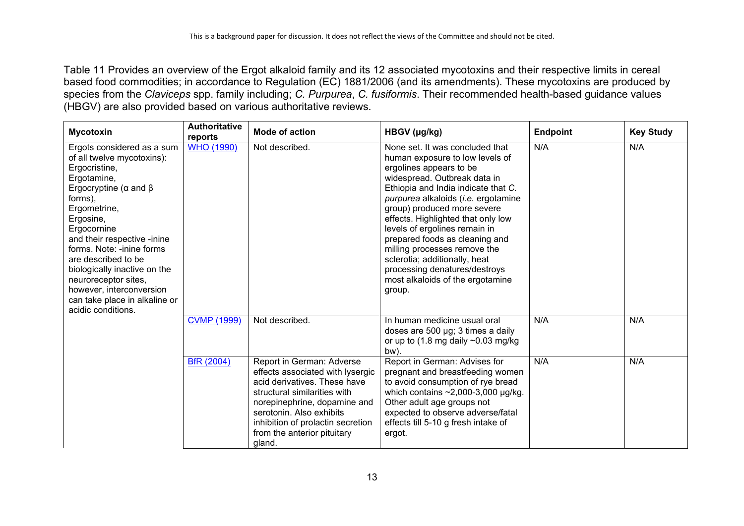Table 11 Provides an overview of the Ergot alkaloid family and its 12 associated mycotoxins and their respective limits in cereal based food commodities; in accordance to Regulation (EC) 1881/2006 (and its amendments). These mycotoxins are produced by species from the *Claviceps* spp. family including; *C. Purpurea*, *C. fusiformis*. Their recommended health-based guidance values (HBGV) are also provided based on various authoritative reviews.

| <b>Mycotoxin</b>                                                                                                                                                                                                                                                                                                                                                                                                     | <b>Authoritative</b><br>reports | <b>Mode of action</b>                                                                                                                                                                                                                                                   | HBGV (µg/kg)                                                                                                                                                                                                                                                                                                                                                                                                                                                                                        | <b>Endpoint</b> | <b>Key Study</b> |
|----------------------------------------------------------------------------------------------------------------------------------------------------------------------------------------------------------------------------------------------------------------------------------------------------------------------------------------------------------------------------------------------------------------------|---------------------------------|-------------------------------------------------------------------------------------------------------------------------------------------------------------------------------------------------------------------------------------------------------------------------|-----------------------------------------------------------------------------------------------------------------------------------------------------------------------------------------------------------------------------------------------------------------------------------------------------------------------------------------------------------------------------------------------------------------------------------------------------------------------------------------------------|-----------------|------------------|
| Ergots considered as a sum<br>of all twelve mycotoxins):<br>Ergocristine,<br>Ergotamine,<br>Ergocryptine ( $\alpha$ and $\beta$<br>forms),<br>Ergometrine,<br>Ergosine,<br>Ergocornine<br>and their respective -inine<br>forms. Note: -inine forms<br>are described to be<br>biologically inactive on the<br>neuroreceptor sites,<br>however, interconversion<br>can take place in alkaline or<br>acidic conditions. | <b>WHO (1990)</b>               | Not described.                                                                                                                                                                                                                                                          | None set. It was concluded that<br>human exposure to low levels of<br>ergolines appears to be<br>widespread. Outbreak data in<br>Ethiopia and India indicate that C.<br>purpurea alkaloids (i.e. ergotamine<br>group) produced more severe<br>effects. Highlighted that only low<br>levels of ergolines remain in<br>prepared foods as cleaning and<br>milling processes remove the<br>sclerotia; additionally, heat<br>processing denatures/destroys<br>most alkaloids of the ergotamine<br>group. | N/A             | N/A              |
|                                                                                                                                                                                                                                                                                                                                                                                                                      | <b>CVMP (1999)</b>              | Not described.                                                                                                                                                                                                                                                          | In human medicine usual oral<br>doses are 500 µg; 3 times a daily<br>or up to $(1.8 \text{ mg daily } \sim 0.03 \text{ mg/kg})$<br>bw).                                                                                                                                                                                                                                                                                                                                                             | N/A             | N/A              |
|                                                                                                                                                                                                                                                                                                                                                                                                                      | BfR (2004)                      | Report in German: Adverse<br>effects associated with lysergic<br>acid derivatives. These have<br>structural similarities with<br>norepinephrine, dopamine and<br>serotonin. Also exhibits<br>inhibition of prolactin secretion<br>from the anterior pituitary<br>gland. | Report in German: Advises for<br>pregnant and breastfeeding women<br>to avoid consumption of rye bread<br>which contains $\sim$ 2,000-3,000 µg/kg.<br>Other adult age groups not<br>expected to observe adverse/fatal<br>effects till 5-10 g fresh intake of<br>ergot.                                                                                                                                                                                                                              | N/A             | N/A              |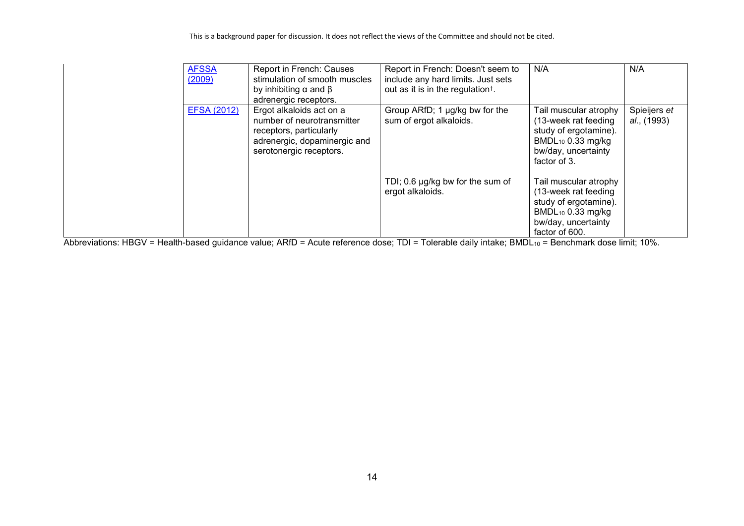| <b>AFSSA</b><br>(2009) | Report in French: Causes<br>stimulation of smooth muscles<br>by inhibiting $\alpha$ and $\beta$<br>adrenergic receptors.                     | Report in French: Doesn't seem to<br>include any hard limits. Just sets<br>out as it is in the regulation <sup>†</sup> . | N/A                                                                                                                                              | N/A                         |
|------------------------|----------------------------------------------------------------------------------------------------------------------------------------------|--------------------------------------------------------------------------------------------------------------------------|--------------------------------------------------------------------------------------------------------------------------------------------------|-----------------------------|
| <b>EFSA (2012)</b>     | Ergot alkaloids act on a<br>number of neurotransmitter<br>receptors, particularly<br>adrenergic, dopaminergic and<br>serotonergic receptors. | Group ARfD; 1 µg/kg bw for the<br>sum of ergot alkaloids.                                                                | Tail muscular atrophy<br>(13-week rat feeding<br>study of ergotamine).<br>BMDL <sub>10</sub> 0.33 mg/kg<br>bw/day, uncertainty<br>factor of 3.   | Spieijers et<br>al., (1993) |
|                        |                                                                                                                                              | TDI; 0.6 $\mu$ g/kg bw for the sum of<br>ergot alkaloids.                                                                | Tail muscular atrophy<br>(13-week rat feeding<br>study of ergotamine).<br>BMDL <sub>10</sub> 0.33 mg/kg<br>bw/day, uncertainty<br>factor of 600. |                             |

Abbreviations: HBGV = Health-based guidance value; ARfD = Acute reference dose; TDI = Tolerable daily intake; BMDL<sub>10</sub> = Benchmark dose limit; 10%.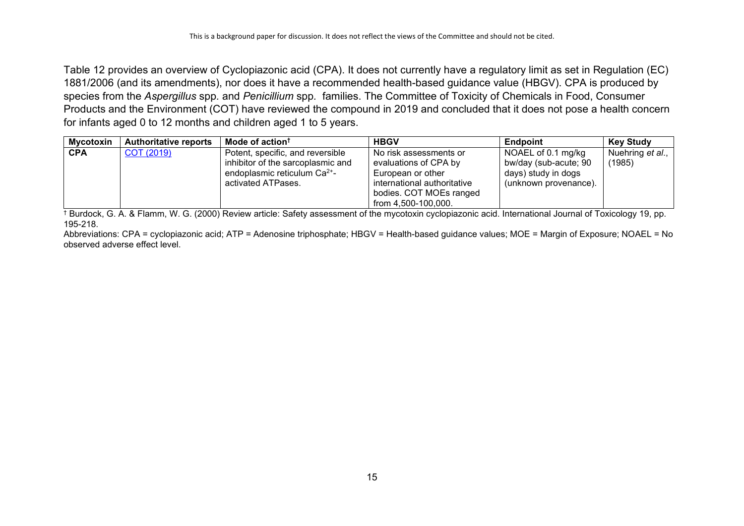Table 12 provides an overview of Cyclopiazonic acid (CPA). It does not currently have a regulatory limit as set in Regulation (EC) 1881/2006 (and its amendments), nor does it have a recommended health-based guidance value (HBGV). CPA is produced by species from the *Aspergillus* spp*.* and *Penicillium* spp*.* families. The Committee of Toxicity of Chemicals in Food, Consumer Products and the Environment (COT) have reviewed the compound in 2019 and concluded that it does not pose a health concern for infants aged 0 to 12 months and children aged 1 to 5 years.

| <b>Mycotoxin</b> | <b>Authoritative reports</b> | Mode of action <sup>†</sup>              | <b>HBGV</b>                 | <b>Endpoint</b>       | <b>Key Study</b> |
|------------------|------------------------------|------------------------------------------|-----------------------------|-----------------------|------------------|
| <b>CPA</b>       | COT (2019)                   | Potent, specific, and reversible         | No risk assessments or      | NOAEL of 0.1 mg/kg    | Nuehring et al., |
|                  |                              | inhibitor of the sarcoplasmic and        | evaluations of CPA by       | bw/day (sub-acute; 90 | (1985)           |
|                  |                              | endoplasmic reticulum Ca <sup>2+</sup> - | European or other           | days) study in dogs   |                  |
|                  |                              | activated ATPases.                       | international authoritative | (unknown provenance). |                  |
|                  |                              |                                          | bodies. COT MOEs ranged     |                       |                  |
|                  |                              |                                          | from 4.500-100.000.         |                       |                  |

 $\frac{1}{1}$  Burdock, G. A. & Flamm, W. G. (2000) Review article: Safety assessment of the mycotoxin cyclopiazonic acid. International Journal of Toxicology 19, pp. 195-218.

Abbreviations: CPA = cyclopiazonic acid; ATP = Adenosine triphosphate; HBGV = Health-based guidance values; MOE = Margin of Exposure; NOAEL = No observed adverse effect level.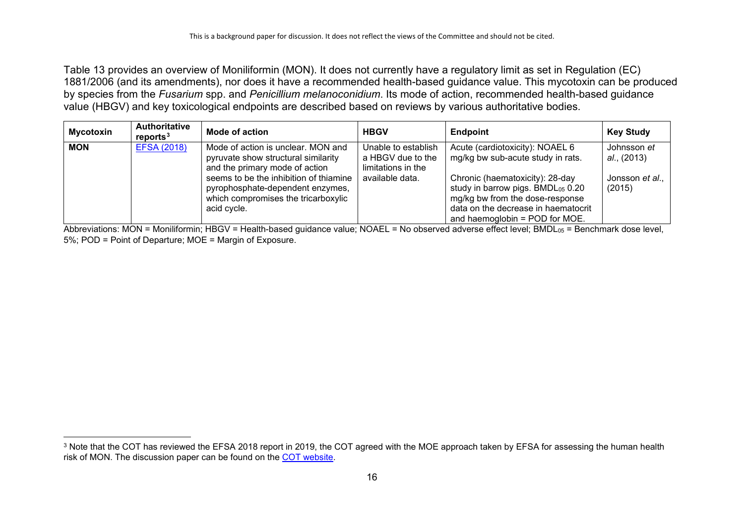<span id="page-15-0"></span>Table 13 provides an overview of Moniliformin (MON). It does not currently have a regulatory limit as set in Regulation (EC) 1881/2006 (and its amendments), nor does it have a recommended health-based guidance value. This mycotoxin can be produced by species from the *Fusarium* spp. and *Penicillium melanoconidium*. Its mode of action, recommended health-based guidance value (HBGV) and key toxicological endpoints are described based on reviews by various authoritative bodies.

| <b>Mycotoxin</b> | <b>Authoritative</b><br>reports <sup>3</sup> | Mode of action                                                                                                                   | <b>HBGV</b>                                                    | <b>Endpoint</b>                                                                                                                                                                        | <b>Key Study</b>           |
|------------------|----------------------------------------------|----------------------------------------------------------------------------------------------------------------------------------|----------------------------------------------------------------|----------------------------------------------------------------------------------------------------------------------------------------------------------------------------------------|----------------------------|
| <b>MON</b>       | <b>EFSA (2018)</b>                           | Mode of action is unclear. MON and<br>pyruvate show structural similarity<br>and the primary mode of action                      | Unable to establish<br>a HBGV due to the<br>limitations in the | Acute (cardiotoxicity): NOAEL 6<br>mg/kg bw sub-acute study in rats.                                                                                                                   | Johnsson et<br>al., (2013) |
|                  |                                              | seems to be the inhibition of thiamine<br>pyrophosphate-dependent enzymes,<br>which compromises the tricarboxylic<br>acid cycle. | available data.                                                | Chronic (haematoxicity): 28-day<br>study in barrow pigs. BMD $L_{05}$ 0.20<br>mg/kg bw from the dose-response<br>data on the decrease in haematocrit<br>and haemoglobin = POD for MOE. | Jonsson et al.,<br>(2015)  |

Abbreviations: MON = Moniliformin; HBGV = Health-based guidance value; NOAEL = No observed adverse effect level; BMDL $_{\rm 05}$  = Benchmark dose level, 5%; POD = Point of Departure; MOE = Margin of Exposure.

<sup>&</sup>lt;sup>3</sup> Note that the COT has reviewed the EFSA 2018 report in 2019, the COT agreed with the MOE approach taken by EFSA for assessing the human health risk of MON. The discussion paper can be found on the [COT website.](https://cot.food.gov.uk/sites/default/files/tox2019-03.pdf)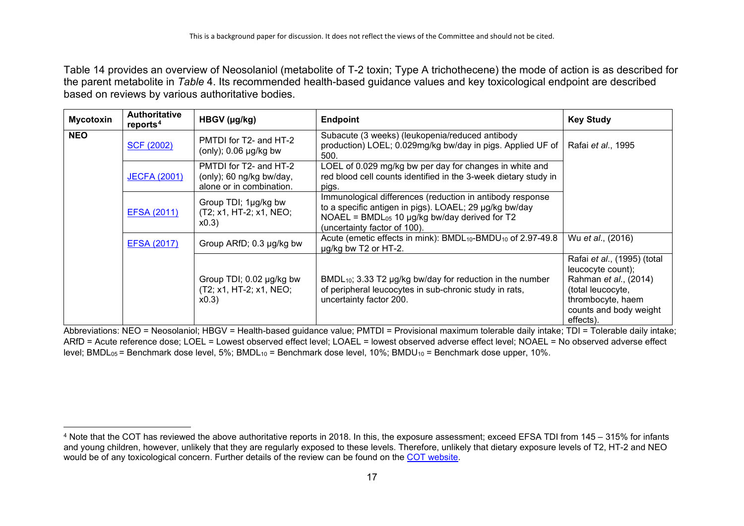<span id="page-16-0"></span>Table 14 provides an overview of Neosolaniol (metabolite of T-2 toxin; Type A trichothecene) the mode of action is as described for the parent metabolite in *[Table](#page-4-0)* 4. Its recommended health-based guidance values and key toxicological endpoint are described based on reviews by various authoritative bodies.

| <b>Mycotoxin</b>                                                       | <b>Authoritative</b><br>reports <sup>4</sup>                         | HBGV (µg/kg)                                                                        | <b>Endpoint</b>                                                                                                                                                                                            | <b>Key Study</b>                                                                                                                                           |
|------------------------------------------------------------------------|----------------------------------------------------------------------|-------------------------------------------------------------------------------------|------------------------------------------------------------------------------------------------------------------------------------------------------------------------------------------------------------|------------------------------------------------------------------------------------------------------------------------------------------------------------|
| <b>NEO</b>                                                             | PMTDI for T2- and HT-2<br><b>SCF (2002)</b><br>(only); 0.06 µg/kg bw |                                                                                     | Subacute (3 weeks) (leukopenia/reduced antibody<br>production) LOEL; 0.029mg/kg bw/day in pigs. Applied UF of<br>500.                                                                                      | Rafai et al., 1995                                                                                                                                         |
|                                                                        | <b>JECFA (2001)</b>                                                  | PMTDI for T2- and HT-2<br>(only); 60 ng/kg bw/day,<br>alone or in combination.      | LOEL of 0.029 mg/kg bw per day for changes in white and<br>red blood cell counts identified in the 3-week dietary study in<br>pigs.                                                                        |                                                                                                                                                            |
|                                                                        | EFSA (2011)                                                          | Group TDI; 1µg/kg bw<br>(T2; x1, HT-2; x1, NEO;<br>x0.3                             | Immunological differences (reduction in antibody response<br>to a specific antigen in pigs). LOAEL; 29 µg/kg bw/day<br>NOAEL = BMDL $_{05}$ 10 µg/kg bw/day derived for T2<br>(uncertainty factor of 100). |                                                                                                                                                            |
| Group ARfD; 0.3 µg/kg bw<br><b>EFSA (2017)</b><br>ug/kg bw T2 or HT-2. |                                                                      | Acute (emetic effects in mink): BMDL <sub>10</sub> -BMDU <sub>10</sub> of 2.97-49.8 | Wu et al., (2016)                                                                                                                                                                                          |                                                                                                                                                            |
|                                                                        |                                                                      | Group TDI; 0.02 µg/kg bw<br>(T2; x1, HT-2; x1, NEO;<br>x0.3                         | $BMDL_{10}$ ; 3.33 T2 $\mu$ g/kg bw/day for reduction in the number<br>of peripheral leucocytes in sub-chronic study in rats,<br>uncertainty factor 200.                                                   | Rafai et al., (1995) (total<br>leucocyte count);<br>Rahman et al., (2014)<br>(total leucocyte,<br>thrombocyte, haem<br>counts and body weight<br>effects). |

Abbreviations: NEO = Neosolaniol; HBGV = Health-based guidance value; PMTDI = Provisional maximum tolerable daily intake; TDI = Tolerable daily intake; ARfD = Acute reference dose; LOEL = Lowest observed effect level; LOAEL = lowest observed adverse effect level; NOAEL = No observed adverse effect level; BMDL<sub>05</sub> = Benchmark dose level, 5%; BMDL<sub>10</sub> = Benchmark dose level, 10%; BMDU<sub>10</sub> = Benchmark dose upper, 10%.

<sup>4</sup> Note that the COT has reviewed the above authoritative reports in 2018. In this, the exposure assessment; exceed EFSA TDI from 145 – 315% for infants and young children, however, unlikely that they are regularly exposed to these levels. Therefore, unlikely that dietary exposure levels of T2, HT-2 and NEO would be of any toxicological concern. Further details of the review can be found on the [COT website.](https://cot.food.gov.uk/sites/default/files/cotstatement-t2ht2andneosolaniol.pdf)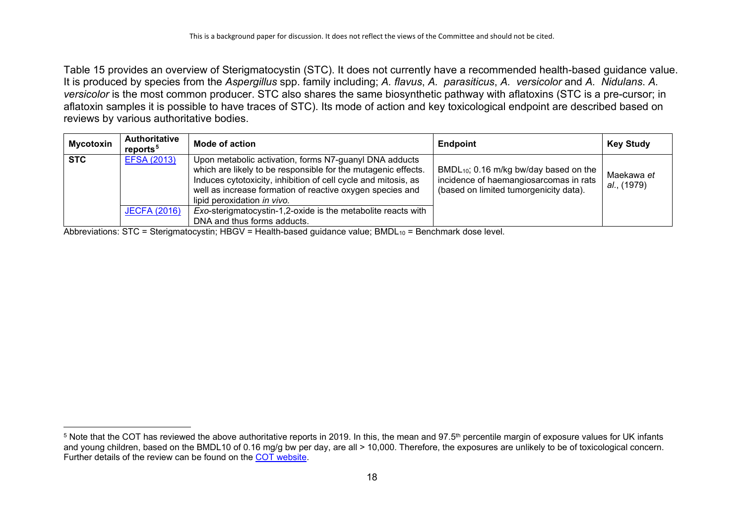<span id="page-17-0"></span>Table 15 provides an overview of Sterigmatocystin (STC). It does not currently have a recommended health-based guidance value. It is produced by species from the *Aspergillus* spp. family including; *A. flavus*, *A. parasiticus*, *A. versicolor* and *A. Nidulans*. *A. versicolor* is the most common producer. STC also shares the same biosynthetic pathway with aflatoxins (STC is a pre-cursor; in aflatoxin samples it is possible to have traces of STC). Its mode of action and key toxicological endpoint are described based on reviews by various authoritative bodies.

| <b>Mycotoxin</b> | <b>Authoritative</b><br>reports <sup>5</sup> | <b>Mode of action</b>                                                                                                                                                                                                                                                                 | <b>Endpoint</b>                                                                                                                 | <b>Key Study</b>          |
|------------------|----------------------------------------------|---------------------------------------------------------------------------------------------------------------------------------------------------------------------------------------------------------------------------------------------------------------------------------------|---------------------------------------------------------------------------------------------------------------------------------|---------------------------|
| <b>STC</b>       | <b>EFSA (2013)</b>                           | Upon metabolic activation, forms N7-guanyl DNA adducts<br>which are likely to be responsible for the mutagenic effects.<br>Induces cytotoxicity, inhibition of cell cycle and mitosis, as<br>well as increase formation of reactive oxygen species and<br>lipid peroxidation in vivo. | $BMDL_{10}$ ; 0.16 m/kg bw/day based on the<br>incidence of haemangiosarcomas in rats<br>(based on limited tumorgenicity data). | Maekawa et<br>al., (1979) |
|                  | <b>JECFA (2016)</b>                          | Exo-sterigmatocystin-1,2-oxide is the metabolite reacts with                                                                                                                                                                                                                          |                                                                                                                                 |                           |
|                  |                                              | DNA and thus forms adducts.                                                                                                                                                                                                                                                           |                                                                                                                                 |                           |

Abbreviations:  $STC = Steirigmatocystin$ ;  $HBGV = Health-based guidance value$ ;  $BMDL<sub>10</sub> = Benchmark dose level$ .

 $5$  Note that the COT has reviewed the above authoritative reports in 2019. In this, the mean and 97.5<sup>th</sup> percentile margin of exposure values for UK infants and young children, based on the BMDL10 of 0.16 mg/g bw per day, are all > 10,000. Therefore, the exposures are unlikely to be of toxicological concern. Further details of the review can be found on the [COT website.](https://cot.food.gov.uk/sites/default/files/addendumtotheoverarchingstatement05yearoldnew_0.pdf)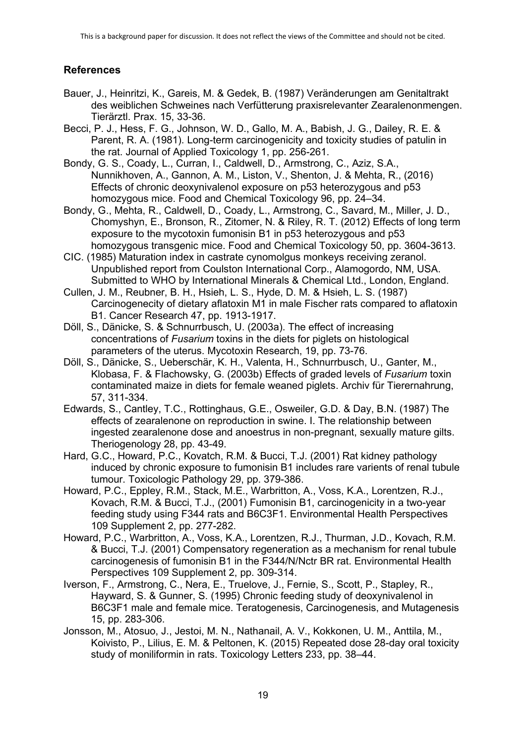## **References**

- Bauer, J., Heinritzi, K., Gareis, M. & Gedek, B. (1987) Veränderungen am Genitaltrakt des weiblichen Schweines nach Verfütterung praxisrelevanter Zearalenonmengen. Tierärztl. Prax. 15, 33-36.
- Becci, P. J., Hess, F. G., Johnson, W. D., Gallo, M. A., Babish, J. G., Dailey, R. E. & Parent, R. A. (1981). Long-term carcinogenicity and toxicity studies of patulin in the rat. Journal of Applied Toxicology 1, pp. 256-261.
- Bondy, G. S., Coady, L., Curran, I., Caldwell, D., Armstrong, C., Aziz, S.A., Nunnikhoven, A., Gannon, A. M., Liston, V., Shenton, J. & Mehta, R., (2016) Effects of chronic deoxynivalenol exposure on p53 heterozygous and p53 homozygous mice. Food and Chemical Toxicology 96, pp. 24–34.
- Bondy, G., Mehta, R., Caldwell, D., Coady, L., Armstrong, C., Savard, M., Miller, J. D., Chomyshyn, E., Bronson, R., Zitomer, N. & Riley, R. T. (2012) Effects of long term exposure to the mycotoxin fumonisin B1 in p53 heterozygous and p53 homozygous transgenic mice. Food and Chemical Toxicology 50, pp. 3604-3613.
- CIC. (1985) Maturation index in castrate cynomolgus monkeys receiving zeranol. Unpublished report from Coulston International Corp., Alamogordo, NM, USA. Submitted to WHO by International Minerals & Chemical Ltd., London, England.
- Cullen, J. M., Reubner, B. H., Hsieh, L. S., Hyde, D. M. & Hsieh, L. S. (1987) Carcinogenecity of dietary aflatoxin M1 in male Fischer rats compared to aflatoxin B1. Cancer Research 47, pp. 1913-1917.
- Döll, S., Dänicke, S. & Schnurrbusch, U. (2003a). The effect of increasing concentrations of *Fusarium* toxins in the diets for piglets on histological parameters of the uterus. Mycotoxin Research, 19, pp. 73-76.
- Döll, S., Dänicke, S., Ueberschär, K. H., Valenta, H., Schnurrbusch, U., Ganter, M., Klobasa, F. & Flachowsky, G. (2003b) Effects of graded levels of *Fusarium* toxin contaminated maize in diets for female weaned piglets. Archiv für Tierernahrung, 57, 311-334.
- Edwards, S., Cantley, T.C., Rottinghaus, G.E., Osweiler, G.D. & Day, B.N. (1987) The effects of zearalenone on reproduction in swine. I. The relationship between ingested zearalenone dose and anoestrus in non-pregnant, sexually mature gilts. Theriogenology 28, pp. 43-49.
- Hard, G.C., Howard, P.C., Kovatch, R.M. & Bucci, T.J. (2001) Rat kidney pathology induced by chronic exposure to fumonisin B1 includes rare varients of renal tubule tumour. Toxicologic Pathology 29, pp. 379-386.
- Howard, P.C., Eppley, R.M., Stack, M.E., Warbritton, A., Voss, K.A., Lorentzen, R.J., Kovach, R.M. & Bucci, T.J., (2001) Fumonisin B1, carcinogenicity in a two-year feeding study using F344 rats and B6C3F1. Environmental Health Perspectives 109 Supplement 2, pp. 277-282.
- Howard, P.C., Warbritton, A., Voss, K.A., Lorentzen, R.J., Thurman, J.D., Kovach, R.M. & Bucci, T.J. (2001) Compensatory regeneration as a mechanism for renal tubule carcinogenesis of fumonisin B1 in the F344/N/Nctr BR rat. Environmental Health Perspectives 109 Supplement 2, pp. 309-314.
- Iverson, F., Armstrong, C., Nera, E., Truelove, J., Fernie, S., Scott, P., Stapley, R., Hayward, S. & Gunner, S. (1995) Chronic feeding study of deoxynivalenol in B6C3F1 male and female mice. Teratogenesis, Carcinogenesis, and Mutagenesis 15, pp. 283-306.
- Jonsson, M., Atosuo, J., Jestoi, M. N., Nathanail, A. V., Kokkonen, U. M., Anttila, M., Koivisto, P., Lilius, E. M. & Peltonen, K. (2015) Repeated dose 28-day oral toxicity study of moniliformin in rats. Toxicology Letters 233, pp. 38–44.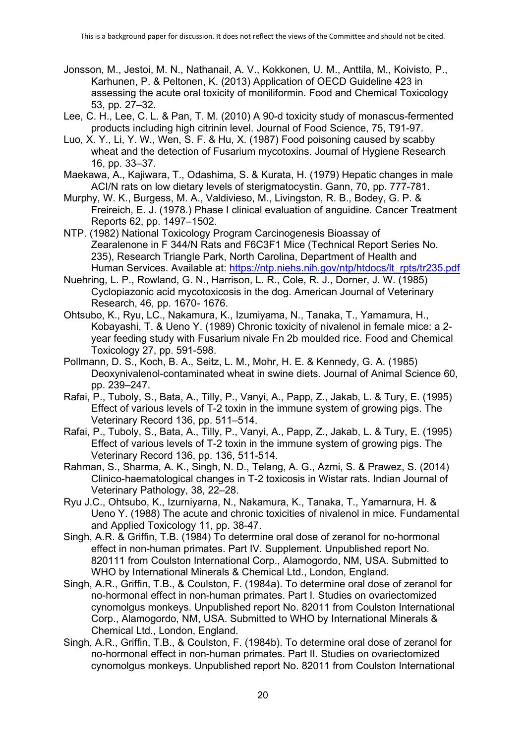- Jonsson, M., Jestoi, M. N., Nathanail, A. V., Kokkonen, U. M., Anttila, M., Koivisto, P., Karhunen, P. & Peltonen, K. (2013) Application of OECD Guideline 423 in assessing the acute oral toxicity of moniliformin. Food and Chemical Toxicology 53, pp. 27–32.
- Lee, C. H., Lee, C. L. & Pan, T. M. (2010) A 90-d toxicity study of monascus-fermented products including high citrinin level. Journal of Food Science, 75, T91-97.
- Luo, X. Y., Li, Y. W., Wen, S. F. & Hu, X. (1987) Food poisoning caused by scabby wheat and the detection of Fusarium mycotoxins. Journal of Hygiene Research 16, pp. 33–37.
- Maekawa, A., Kajiwara, T., Odashima, S. & Kurata, H. (1979) Hepatic changes in male ACI/N rats on low dietary levels of sterigmatocystin. Gann, 70, pp. 777-781.
- Murphy, W. K., Burgess, M. A., Valdivieso, M., Livingston, R. B., Bodey, G. P. & Freireich, E. J. (1978.) Phase I clinical evaluation of anguidine. Cancer Treatment Reports 62, pp. 1497–1502.
- NTP. (1982) National Toxicology Program Carcinogenesis Bioassay of Zearalenone in F 344/N Rats and F6C3F1 Mice (Technical Report Series No. 235), Research Triangle Park, North Carolina, Department of Health and Human Services. Available at: [https://ntp.niehs.nih.gov/ntp/htdocs/lt\\_rpts/tr235.pdf](https://ntp.niehs.nih.gov/ntp/htdocs/lt_rpts/tr235.pdf)
- Nuehring, L. P., Rowland, G. N., Harrison, L. R., Cole, R. J., Dorner, J. W. (1985) Cyclopiazonic acid mycotoxicosis in the dog. American Journal of Veterinary Research, 46, pp. 1670- 1676.
- Ohtsubo, K., Ryu, LC., Nakamura, K., Izumiyama, N., Tanaka, T., Yamamura, H., Kobayashi, T. & Ueno Y. (1989) Chronic toxicity of nivalenol in female mice: a 2 year feeding study with Fusarium nivale Fn 2b moulded rice. Food and Chemical Toxicology 27, pp. 591-598.
- Pollmann, D. S., Koch, B. A., Seitz, L. M., Mohr, H. E. & Kennedy, G. A. (1985) Deoxynivalenol-contaminated wheat in swine diets. Journal of Animal Science 60, pp. 239–247.
- Rafai, P., Tuboly, S., Bata, A., Tilly, P., Vanyi, A., Papp, Z., Jakab, L. & Tury, E. (1995) Effect of various levels of T-2 toxin in the immune system of growing pigs. The Veterinary Record 136, pp. 511–514.
- Rafai, P., Tuboly, S., Bata, A., Tilly, P., Vanyi, A., Papp, Z., Jakab, L. & Tury, E. (1995) Effect of various levels of T-2 toxin in the immune system of growing pigs. The Veterinary Record 136, pp. 136, 511-514.
- Rahman, S., Sharma, A. K., Singh, N. D., Telang, A. G., Azmi, S. & Prawez, S. (2014) Clinico-haematological changes in T-2 toxicosis in Wistar rats. Indian Journal of Veterinary Pathology, 38, 22–28.
- Ryu J.C., Ohtsubo, K., Izurniyarna, N., Nakamura, K., Tanaka, T., Yamarnura, H. & Ueno Y. (1988) The acute and chronic toxicities of nivalenol in mice. Fundamental and Applied Toxicology 11, pp. 38-47.
- Singh, A.R. & Griffin, T.B. (1984) To determine oral dose of zeranol for no-hormonal effect in non-human primates. Part IV. Supplement. Unpublished report No. 820111 from Coulston International Corp., Alamogordo, NM, USA. Submitted to WHO by International Minerals & Chemical Ltd., London, England.
- Singh, A.R., Griffin, T.B., & Coulston, F. (1984a). To determine oral dose of zeranol for no-hormonal effect in non-human primates. Part I. Studies on ovariectomized cynomolgus monkeys. Unpublished report No. 82011 from Coulston International Corp., Alamogordo, NM, USA. Submitted to WHO by International Minerals & Chemical Ltd., London, England.
- Singh, A.R., Griffin, T.B., & Coulston, F. (1984b). To determine oral dose of zeranol for no-hormonal effect in non-human primates. Part II. Studies on ovariectomized cynomolgus monkeys. Unpublished report No. 82011 from Coulston International